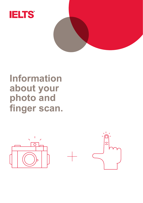